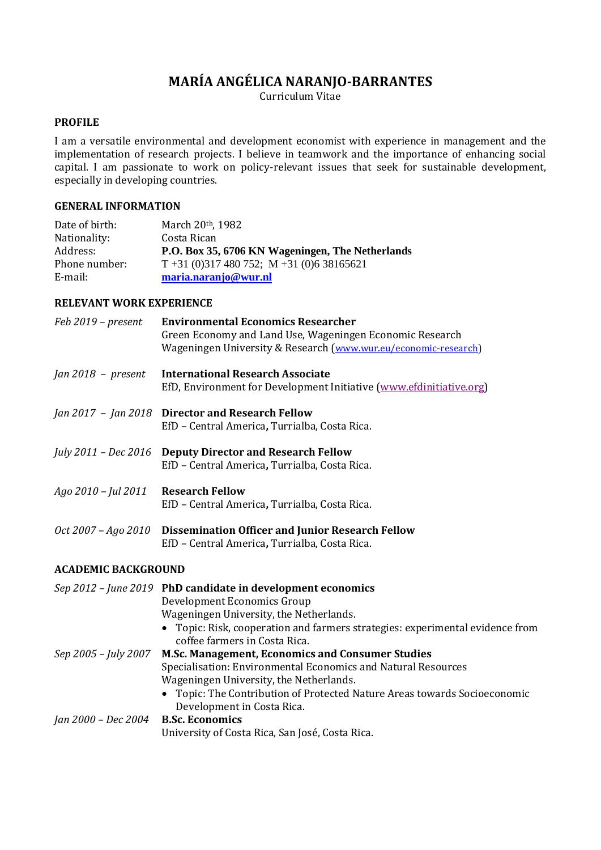# **MARÍA ANGÉLICA NARANJO-BARRANTES**

Curriculum Vitae

## **PROFILE**

I am a versatile environmental and development economist with experience in management and the implementation of research projects. I believe in teamwork and the importance of enhancing social capital. I am passionate to work on policy-relevant issues that seek for sustainable development, especially in developing countries.

## **GENERAL INFORMATION**

| Date of birth: | March 20th, 1982                                 |
|----------------|--------------------------------------------------|
| Nationality:   | Costa Rican                                      |
| Address:       | P.O. Box 35, 6706 KN Wageningen, The Netherlands |
| Phone number:  | $T + 31(0)317480752$ ; M + 31 (0) 6 38165621     |
| E-mail:        | maria.naranjo@wur.nl                             |

#### **RELEVANT WORK EXPERIENCE**

| Feb 2019 - present         | <b>Environmental Economics Researcher</b><br>Green Economy and Land Use, Wageningen Economic Research<br>Wageningen University & Research (www.wur.eu/economic-research)                                                                                |
|----------------------------|---------------------------------------------------------------------------------------------------------------------------------------------------------------------------------------------------------------------------------------------------------|
| $Jan 2018 - present$       | <b>International Research Associate</b><br>EfD, Environment for Development Initiative (www.efdinitiative.org)                                                                                                                                          |
|                            | Jan 2017 - Jan 2018 Director and Research Fellow<br>EfD - Central America, Turrialba, Costa Rica.                                                                                                                                                       |
|                            | July 2011 - Dec 2016 Deputy Director and Research Fellow<br>EfD - Central America, Turrialba, Costa Rica.                                                                                                                                               |
| Ago 2010 - Jul 2011        | <b>Research Fellow</b><br>EfD - Central America, Turrialba, Costa Rica.                                                                                                                                                                                 |
| Oct 2007 – Ago 2010        | <b>Dissemination Officer and Junior Research Fellow</b><br>EfD - Central America, Turrialba, Costa Rica.                                                                                                                                                |
| <b>ACADEMIC BACKGROUND</b> |                                                                                                                                                                                                                                                         |
|                            | Sep 2012 - June 2019 PhD candidate in development economics<br>Development Economics Group<br>Wageningen University, the Netherlands.<br>• Topic: Risk, cooperation and farmers strategies: experimental evidence from<br>coffee farmers in Costa Rica. |
| Sep 2005 - July 2007       | M.Sc. Management, Economics and Consumer Studies<br>Specialisation: Environmental Economics and Natural Resources<br>Wageningen University, the Netherlands.<br>• Topic: The Contribution of Protected Nature Areas towards Socioeconomic               |
| Jan 2000 - Dec 2004        | Development in Costa Rica.<br><b>B.Sc. Economics</b><br>University of Costa Rica, San José, Costa Rica.                                                                                                                                                 |